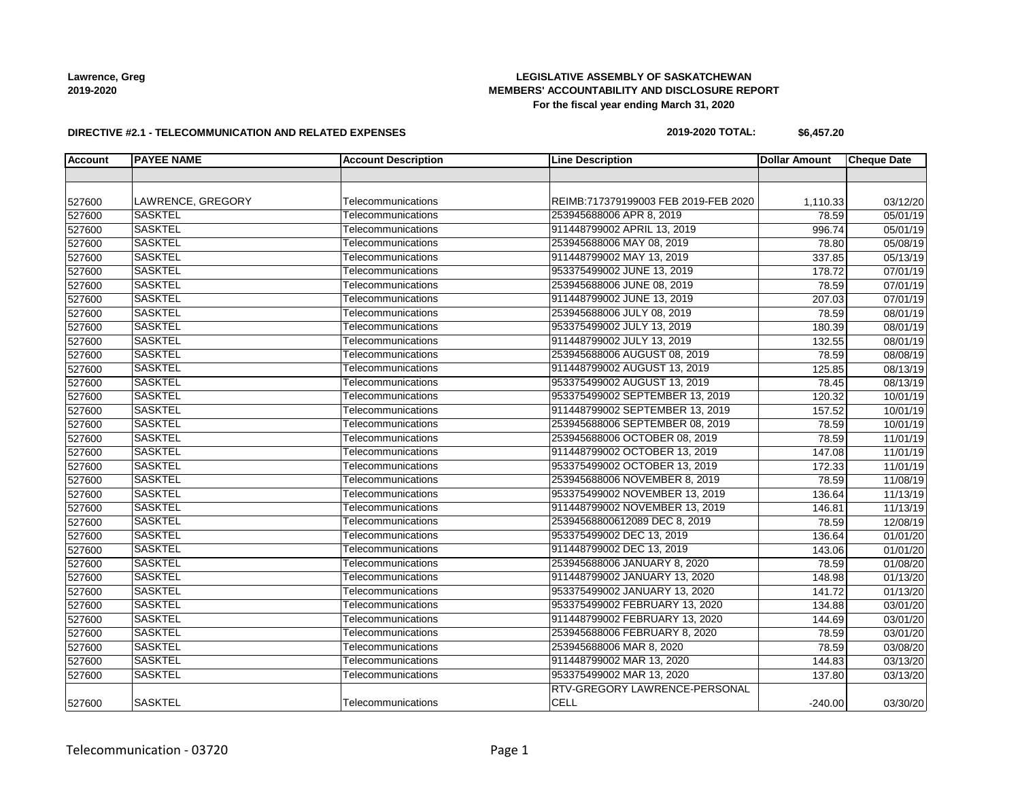# **LEGISLATIVE ASSEMBLY OF SASKATCHEWAN MEMBERS' ACCOUNTABILITY AND DISCLOSURE REPORT For the fiscal year ending March 31, 2020**

#### **DIRECTIVE #2.1 - TELECOMMUNICATION AND RELATED EXPENSES**

# **2019-2020 TOTAL: \$6,457.20**

| <b>Account</b> | <b>PAYEE NAME</b> | <b>Account Description</b> | <b>Line Description</b>              | <b>Dollar Amount</b> | <b>Cheque Date</b> |
|----------------|-------------------|----------------------------|--------------------------------------|----------------------|--------------------|
|                |                   |                            |                                      |                      |                    |
|                |                   |                            |                                      |                      |                    |
| 527600         | LAWRENCE, GREGORY | Telecommunications         | REIMB:717379199003 FEB 2019-FEB 2020 | 1,110.33             | 03/12/20           |
| 527600         | <b>SASKTEL</b>    | Telecommunications         | 253945688006 APR 8, 2019             | 78.59                | 05/01/19           |
| 527600         | <b>SASKTEL</b>    | Telecommunications         | 911448799002 APRIL 13, 2019          | 996.74               | 05/01/19           |
| 527600         | <b>SASKTEL</b>    | Telecommunications         | 253945688006 MAY 08, 2019            | 78.80                | 05/08/19           |
| 527600         | <b>SASKTEL</b>    | Telecommunications         | 911448799002 MAY 13, 2019            | 337.85               | 05/13/19           |
| 527600         | <b>SASKTEL</b>    | Telecommunications         | 953375499002 JUNE 13, 2019           | 178.72               | 07/01/19           |
| 527600         | <b>SASKTEL</b>    | Telecommunications         | 253945688006 JUNE 08, 2019           | 78.59                | 07/01/19           |
| 527600         | <b>SASKTEL</b>    | Telecommunications         | 911448799002 JUNE 13, 2019           | 207.03               | 07/01/19           |
| 527600         | <b>SASKTEL</b>    | Telecommunications         | 253945688006 JULY 08, 2019           | 78.59                | 08/01/19           |
| 527600         | <b>SASKTEL</b>    | Telecommunications         | 953375499002 JULY 13, 2019           | 180.39               | 08/01/19           |
| 527600         | <b>SASKTEL</b>    | Telecommunications         | 911448799002 JULY 13, 2019           | 132.55               | 08/01/19           |
| 527600         | <b>SASKTEL</b>    | Telecommunications         | 253945688006 AUGUST 08, 2019         | 78.59                | 08/08/19           |
| 527600         | <b>SASKTEL</b>    | Telecommunications         | 911448799002 AUGUST 13, 2019         | 125.85               | 08/13/19           |
| 527600         | <b>SASKTEL</b>    | Telecommunications         | 953375499002 AUGUST 13, 2019         | 78.45                | 08/13/19           |
| 527600         | <b>SASKTEL</b>    | Telecommunications         | 953375499002 SEPTEMBER 13, 2019      | 120.32               | 10/01/19           |
| 527600         | <b>SASKTEL</b>    | Telecommunications         | 911448799002 SEPTEMBER 13, 2019      | 157.52               | 10/01/19           |
| 527600         | <b>SASKTEL</b>    | Telecommunications         | 253945688006 SEPTEMBER 08, 2019      | 78.59                | 10/01/19           |
| 527600         | <b>SASKTEL</b>    | Telecommunications         | 253945688006 OCTOBER 08, 2019        | 78.59                | 11/01/19           |
| 527600         | <b>SASKTEL</b>    | Telecommunications         | 911448799002 OCTOBER 13, 2019        | 147.08               | 11/01/19           |
| 527600         | <b>SASKTEL</b>    | Telecommunications         | 953375499002 OCTOBER 13, 2019        | 172.33               | 11/01/19           |
| 527600         | <b>SASKTEL</b>    | Telecommunications         | 253945688006 NOVEMBER 8, 2019        | 78.59                | 11/08/19           |
| 527600         | <b>SASKTEL</b>    | Telecommunications         | 953375499002 NOVEMBER 13, 2019       | 136.64               | 11/13/19           |
| 527600         | <b>SASKTEL</b>    | Telecommunications         | 911448799002 NOVEMBER 13, 2019       | 146.81               | 11/13/19           |
| 527600         | <b>SASKTEL</b>    | Telecommunications         | 25394568800612089 DEC 8, 2019        | 78.59                | 12/08/19           |
| 527600         | <b>SASKTEL</b>    | Telecommunications         | 953375499002 DEC 13, 2019            | 136.64               | 01/01/20           |
| 527600         | <b>SASKTEL</b>    | Telecommunications         | 911448799002 DEC 13, 2019            | 143.06               | 01/01/20           |
| 527600         | <b>SASKTEL</b>    | Telecommunications         | 253945688006 JANUARY 8, 2020         | 78.59                | 01/08/20           |
| 527600         | <b>SASKTEL</b>    | Telecommunications         | 911448799002 JANUARY 13, 2020        | 148.98               | 01/13/20           |
| 527600         | <b>SASKTEL</b>    | Telecommunications         | 953375499002 JANUARY 13, 2020        | 141.72               | 01/13/20           |
| 527600         | <b>SASKTEL</b>    | Telecommunications         | 953375499002 FEBRUARY 13, 2020       | 134.88               | 03/01/20           |
| 527600         | <b>SASKTEL</b>    | Telecommunications         | 911448799002 FEBRUARY 13, 2020       | 144.69               | 03/01/20           |
| 527600         | <b>SASKTEL</b>    | Telecommunications         | 253945688006 FEBRUARY 8, 2020        | 78.59                | 03/01/20           |
| 527600         | <b>SASKTEL</b>    | Telecommunications         | 253945688006 MAR 8, 2020             | 78.59                | 03/08/20           |
| 527600         | <b>SASKTEL</b>    | Telecommunications         | 911448799002 MAR 13, 2020            | 144.83               | 03/13/20           |
| 527600         | <b>SASKTEL</b>    | Telecommunications         | 953375499002 MAR 13, 2020            | 137.80               | 03/13/20           |
|                |                   |                            | RTV-GREGORY LAWRENCE-PERSONAL        |                      |                    |
| 527600         | <b>SASKTEL</b>    | Telecommunications         | <b>CELL</b>                          | $-240.00$            | 03/30/20           |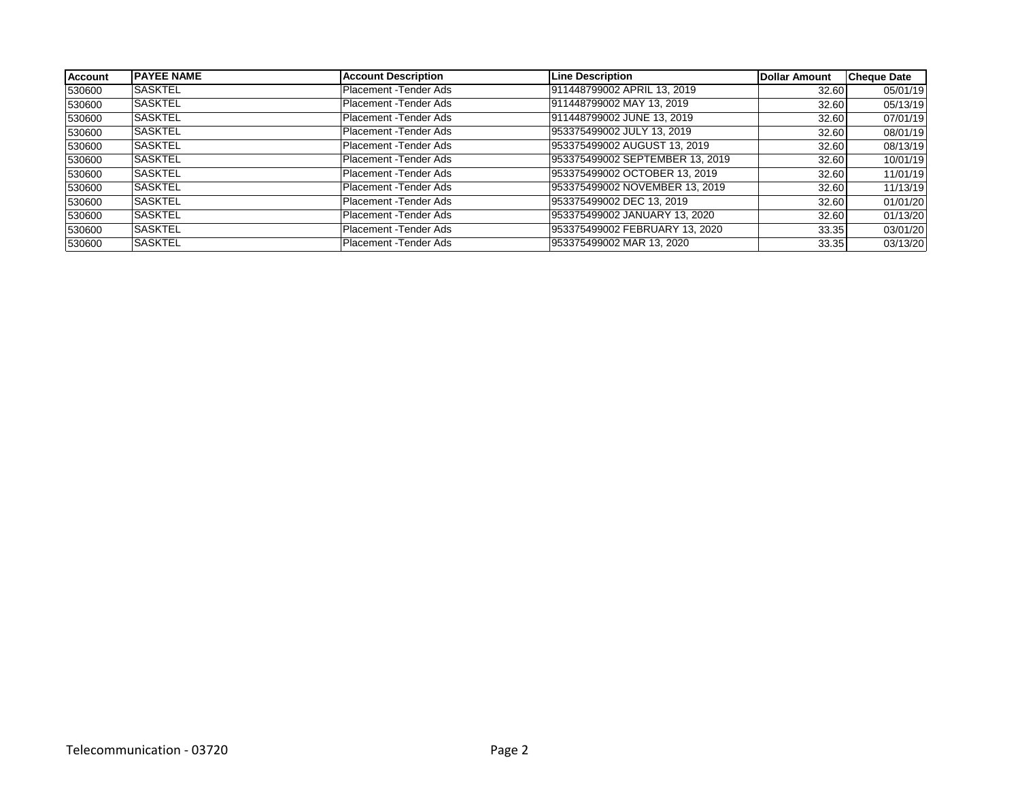| <b>Account</b> | <b>IPAYEE NAME</b> | <b>Account Description</b> | <b>Line Description</b>         | Dollar Amount | <b>Cheque Date</b> |
|----------------|--------------------|----------------------------|---------------------------------|---------------|--------------------|
| 530600         | <b>SASKTEL</b>     | Placement - Tender Ads     | 911448799002 APRIL 13, 2019     | 32.60         | 05/01/19           |
| 530600         | <b>SASKTEL</b>     | Placement - Tender Ads     | 911448799002 MAY 13, 2019       | 32.60         | 05/13/19           |
| 530600         | <b>SASKTEL</b>     | Placement - Tender Ads     | 911448799002 JUNE 13, 2019      | 32.60         | 07/01/19           |
| 530600         | <b>SASKTEL</b>     | Placement - Tender Ads     | 953375499002 JULY 13, 2019      | 32.60         | 08/01/19           |
| 530600         | <b>SASKTEL</b>     | Placement - Tender Ads     | 953375499002 AUGUST 13, 2019    | 32.60         | 08/13/19           |
| 530600         | <b>SASKTEL</b>     | Placement - Tender Ads     | 953375499002 SEPTEMBER 13, 2019 | 32.60         | 10/01/19           |
| 530600         | <b>ISASKTEL</b>    | Placement - Tender Ads     | 953375499002 OCTOBER 13, 2019   | 32.60         | 11/01/19           |
| 530600         | <b>SASKTEL</b>     | Placement - Tender Ads     | 953375499002 NOVEMBER 13, 2019  | 32.60         | 11/13/19           |
| 530600         | <b>SASKTEL</b>     | Placement - Tender Ads     | 953375499002 DEC 13, 2019       | 32.60         | 01/01/20           |
| 530600         | <b>SASKTEL</b>     | Placement - Tender Ads     | 953375499002 JANUARY 13, 2020   | 32.60         | 01/13/20           |
| 530600         | <b>SASKTEL</b>     | Placement - Tender Ads     | 953375499002 FEBRUARY 13, 2020  | 33.35         | 03/01/20           |
| 530600         | <b>SASKTEL</b>     | Placement - Tender Ads     | 953375499002 MAR 13, 2020       | 33.35         | 03/13/20           |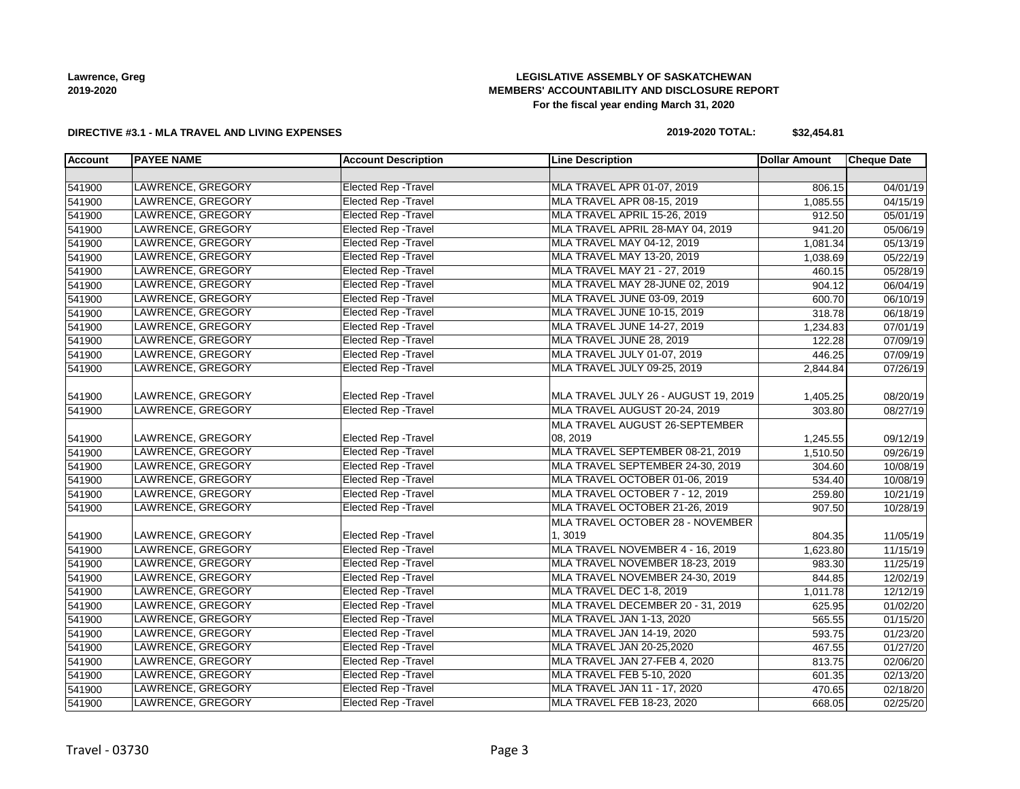# **LEGISLATIVE ASSEMBLY OF SASKATCHEWAN MEMBERS' ACCOUNTABILITY AND DISCLOSURE REPORT For the fiscal year ending March 31, 2020**

#### **DIRECTIVE #3.1 - MLA TRAVEL AND LIVING EXPENSES**

# **2019-2020 TOTAL: \$32,454.81**

| <b>Account</b> | <b>PAYEE NAME</b>        | <b>Account Description</b>  | <b>Line Description</b>              | <b>Dollar Amount</b> | <b>Cheque Date</b>    |
|----------------|--------------------------|-----------------------------|--------------------------------------|----------------------|-----------------------|
|                |                          |                             |                                      |                      |                       |
| 541900         | LAWRENCE, GREGORY        | <b>Elected Rep - Travel</b> | MLA TRAVEL APR 01-07, 2019           | 806.15               | 04/01/19              |
| 541900         | LAWRENCE, GREGORY        | <b>Elected Rep - Travel</b> | MLA TRAVEL APR 08-15, 2019           | 1,085.55             | $\overline{04/15/19}$ |
| 541900         | LAWRENCE, GREGORY        | Elected Rep - Travel        | MLA TRAVEL APRIL 15-26, 2019         | 912.50               | $\overline{05/01/19}$ |
| 541900         | LAWRENCE, GREGORY        | <b>Elected Rep - Travel</b> | MLA TRAVEL APRIL 28-MAY 04, 2019     | 941.20               | 05/06/19              |
| 541900         | LAWRENCE, GREGORY        | <b>Elected Rep - Travel</b> | MLA TRAVEL MAY 04-12, 2019           | 1,081.34             | 05/13/19              |
| 541900         | LAWRENCE, GREGORY        | <b>Elected Rep - Travel</b> | MLA TRAVEL MAY 13-20, 2019           | 1,038.69             | 05/22/19              |
| 541900         | LAWRENCE, GREGORY        | <b>Elected Rep - Travel</b> | MLA TRAVEL MAY 21 - 27, 2019         | 460.15               | 05/28/19              |
| 541900         | LAWRENCE, GREGORY        | <b>Elected Rep - Travel</b> | MLA TRAVEL MAY 28-JUNE 02, 2019      | 904.12               | 06/04/19              |
| 541900         | LAWRENCE, GREGORY        | <b>Elected Rep - Travel</b> | MLA TRAVEL JUNE 03-09, 2019          | 600.70               | 06/10/19              |
| 541900         | LAWRENCE, GREGORY        | <b>Elected Rep - Travel</b> | MLA TRAVEL JUNE 10-15, 2019          | 318.78               | 06/18/19              |
| 541900         | LAWRENCE, GREGORY        | <b>Elected Rep - Travel</b> | MLA TRAVEL JUNE 14-27, 2019          | 1,234.83             | 07/01/19              |
| 541900         | LAWRENCE, GREGORY        | <b>Elected Rep - Travel</b> | MLA TRAVEL JUNE 28, 2019             | 122.28               | 07/09/19              |
| 541900         | LAWRENCE, GREGORY        | <b>Elected Rep - Travel</b> | MLA TRAVEL JULY 01-07, 2019          | 446.25               | 07/09/19              |
| 541900         | LAWRENCE, GREGORY        | <b>Elected Rep - Travel</b> | MLA TRAVEL JULY 09-25, 2019          | 2,844.84             | 07/26/19              |
|                |                          |                             |                                      |                      |                       |
| 541900         | LAWRENCE, GREGORY        | Elected Rep - Travel        | MLA TRAVEL JULY 26 - AUGUST 19, 2019 | 1,405.25             | 08/20/19              |
| 541900         | <b>LAWRENCE, GREGORY</b> | <b>Elected Rep - Travel</b> | MLA TRAVEL AUGUST 20-24, 2019        | 303.80               | 08/27/19              |
|                |                          |                             | MLA TRAVEL AUGUST 26-SEPTEMBER       |                      |                       |
| 541900         | LAWRENCE, GREGORY        | Elected Rep - Travel        | 08, 2019                             | 1,245.55             | 09/12/19              |
| 541900         | LAWRENCE, GREGORY        | <b>Elected Rep - Travel</b> | MLA TRAVEL SEPTEMBER 08-21, 2019     | 1,510.50             | 09/26/19              |
| 541900         | LAWRENCE, GREGORY        | <b>Elected Rep - Travel</b> | MLA TRAVEL SEPTEMBER 24-30, 2019     | 304.60               | 10/08/19              |
| 541900         | LAWRENCE, GREGORY        | <b>Elected Rep - Travel</b> | MLA TRAVEL OCTOBER 01-06, 2019       | 534.40               | 10/08/19              |
| 541900         | LAWRENCE, GREGORY        | <b>Elected Rep - Travel</b> | MLA TRAVEL OCTOBER 7 - 12, 2019      | 259.80               | 10/21/19              |
| 541900         | LAWRENCE, GREGORY        | <b>Elected Rep - Travel</b> | MLA TRAVEL OCTOBER 21-26, 2019       | 907.50               | 10/28/19              |
|                |                          |                             | MLA TRAVEL OCTOBER 28 - NOVEMBER     |                      |                       |
| 541900         | LAWRENCE, GREGORY        | Elected Rep - Travel        | 1,3019                               | 804.35               | 11/05/19              |
| 541900         | LAWRENCE, GREGORY        | <b>Elected Rep - Travel</b> | MLA TRAVEL NOVEMBER 4 - 16, 2019     | 1,623.80             | 11/15/19              |
| 541900         | LAWRENCE, GREGORY        | <b>Elected Rep - Travel</b> | MLA TRAVEL NOVEMBER 18-23, 2019      | 983.30               | 11/25/19              |
| 541900         | LAWRENCE, GREGORY        | <b>Elected Rep - Travel</b> | MLA TRAVEL NOVEMBER 24-30, 2019      | 844.85               | 12/02/19              |
| 541900         | LAWRENCE, GREGORY        | <b>Elected Rep - Travel</b> | MLA TRAVEL DEC 1-8, 2019             | 1,011.78             | 12/12/19              |
| 541900         | LAWRENCE, GREGORY        | <b>Elected Rep - Travel</b> | MLA TRAVEL DECEMBER 20 - 31, 2019    | 625.95               | 01/02/20              |
| 541900         | LAWRENCE, GREGORY        | <b>Elected Rep - Travel</b> | MLA TRAVEL JAN 1-13, 2020            | 565.55               | 01/15/20              |
| 541900         | LAWRENCE, GREGORY        | <b>Elected Rep - Travel</b> | MLA TRAVEL JAN 14-19, 2020           | 593.75               | 01/23/20              |
| 541900         | LAWRENCE, GREGORY        | <b>Elected Rep - Travel</b> | MLA TRAVEL JAN 20-25,2020            | 467.55               | 01/27/20              |
| 541900         | LAWRENCE, GREGORY        | <b>Elected Rep - Travel</b> | MLA TRAVEL JAN 27-FEB 4, 2020        | 813.75               | 02/06/20              |
| 541900         | LAWRENCE, GREGORY        | <b>Elected Rep - Travel</b> | MLA TRAVEL FEB 5-10, 2020            | 601.35               | 02/13/20              |
| 541900         | LAWRENCE, GREGORY        | <b>Elected Rep - Travel</b> | MLA TRAVEL JAN 11 - 17, 2020         | 470.65               | 02/18/20              |
| 541900         | LAWRENCE, GREGORY        | <b>Elected Rep - Travel</b> | MLA TRAVEL FEB 18-23, 2020           | 668.05               | 02/25/20              |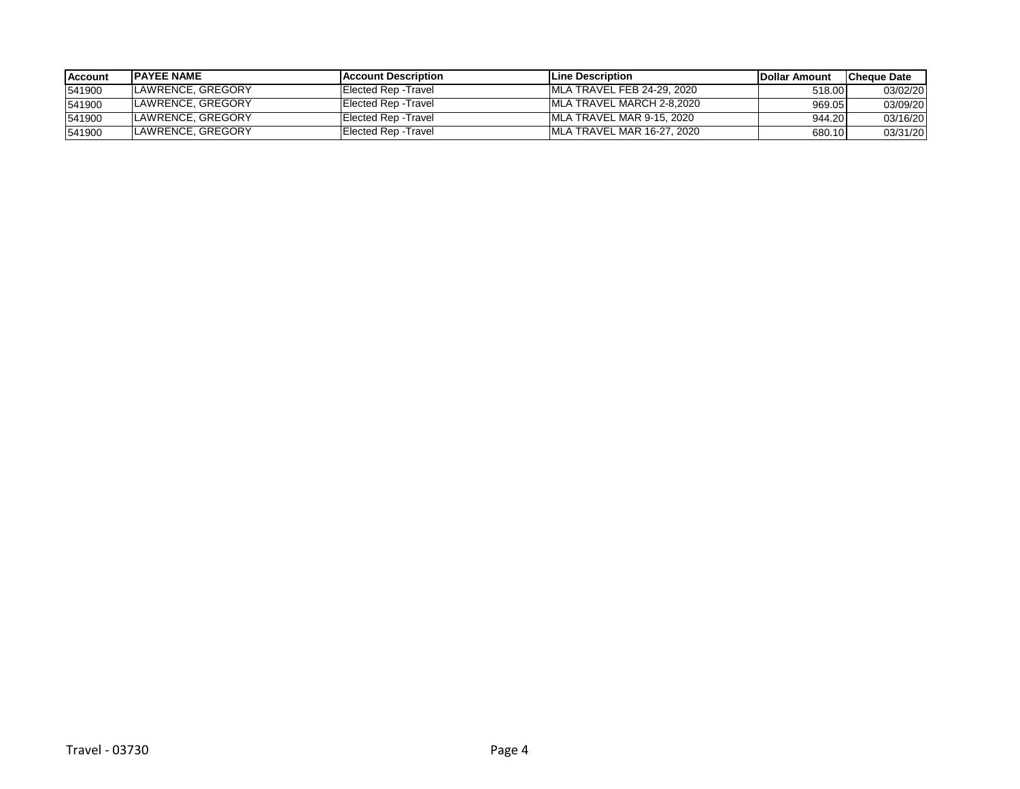| <b>Account</b> | <b>IPAYEE NAME</b> | <b>IAccount Description</b> | <b>ILine Description</b>    | <b>IDollar Amount</b> | lCheque Date |
|----------------|--------------------|-----------------------------|-----------------------------|-----------------------|--------------|
| 541900         | LAWRENCE, GREGORY  | Elected Rep - Travel        | MLA TRAVEL FEB 24-29, 2020  | 518.00                | 03/02/20     |
| 541900         | LAWRENCE, GREGORY  | Elected Rep - Travel        | IMLA TRAVEL MARCH 2-8.2020  | 969.05                | 03/09/20     |
| 541900         | LAWRENCE, GREGORY  | Elected Rep - Travel        | MLA TRAVEL MAR 9-15, 2020   | 944.20                | 03/16/20     |
| 541900         | LAWRENCE, GREGORY  | Elected Rep - Travel        | IMLA TRAVEL MAR 16-27, 2020 | 680.10                | 03/31/20     |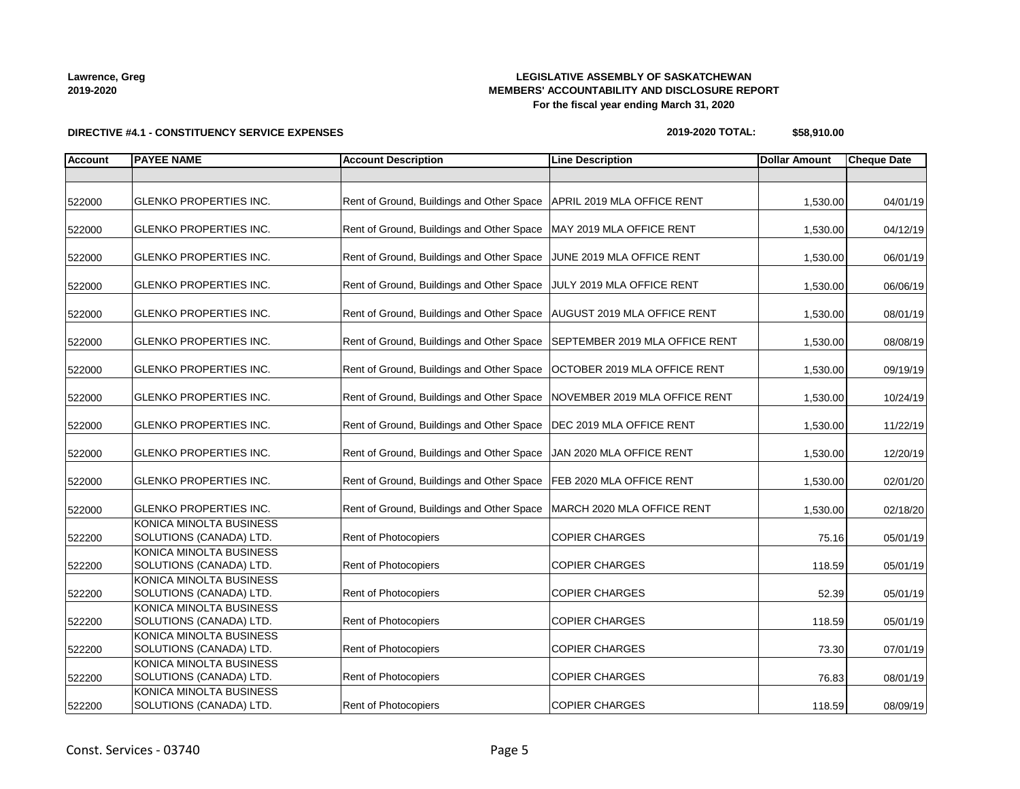# **LEGISLATIVE ASSEMBLY OF SASKATCHEWAN MEMBERS' ACCOUNTABILITY AND DISCLOSURE REPORT For the fiscal year ending March 31, 2020**

**2019-2020 TOTAL: \$58,910.00**

| <b>Account</b> | <b>PAYEE NAME</b>                                  | <b>Account Description</b>                                             | <b>Line Description</b>        | <b>Dollar Amount</b> | <b>Cheque Date</b> |
|----------------|----------------------------------------------------|------------------------------------------------------------------------|--------------------------------|----------------------|--------------------|
|                |                                                    |                                                                        |                                |                      |                    |
| 522000         | <b>GLENKO PROPERTIES INC.</b>                      | Rent of Ground, Buildings and Other Space   APRIL 2019 MLA OFFICE RENT |                                | 1,530.00             | 04/01/19           |
| 522000         | <b>GLENKO PROPERTIES INC.</b>                      | Rent of Ground, Buildings and Other Space   MAY 2019 MLA OFFICE RENT   |                                | 1,530.00             | 04/12/19           |
| 522000         | <b>GLENKO PROPERTIES INC.</b>                      | Rent of Ground, Buildings and Other Space                              | JUNE 2019 MLA OFFICE RENT      | 1,530.00             | 06/01/19           |
| 522000         | <b>GLENKO PROPERTIES INC.</b>                      | Rent of Ground, Buildings and Other Space                              | JULY 2019 MLA OFFICE RENT      | 1,530.00             | 06/06/19           |
| 522000         | <b>GLENKO PROPERTIES INC.</b>                      | Rent of Ground, Buildings and Other Space                              | AUGUST 2019 MLA OFFICE RENT    | 1,530.00             | 08/01/19           |
| 522000         | <b>GLENKO PROPERTIES INC.</b>                      | Rent of Ground, Buildings and Other Space                              | SEPTEMBER 2019 MLA OFFICE RENT | 1,530.00             | 08/08/19           |
| 522000         | <b>GLENKO PROPERTIES INC.</b>                      | Rent of Ground, Buildings and Other Space                              | OCTOBER 2019 MLA OFFICE RENT   | 1,530.00             | 09/19/19           |
| 522000         | <b>GLENKO PROPERTIES INC.</b>                      | Rent of Ground, Buildings and Other Space                              | NOVEMBER 2019 MLA OFFICE RENT  | 1,530.00             | 10/24/19           |
| 522000         | <b>GLENKO PROPERTIES INC.</b>                      | Rent of Ground, Buildings and Other Space   DEC 2019 MLA OFFICE RENT   |                                | 1,530.00             | 11/22/19           |
| 522000         | <b>GLENKO PROPERTIES INC.</b>                      | Rent of Ground, Buildings and Other Space                              | JAN 2020 MLA OFFICE RENT       | 1,530.00             | 12/20/19           |
| 522000         | <b>GLENKO PROPERTIES INC.</b>                      | Rent of Ground, Buildings and Other Space                              | FEB 2020 MLA OFFICE RENT       | 1,530.00             | 02/01/20           |
| 522000         | <b>GLENKO PROPERTIES INC.</b>                      | Rent of Ground, Buildings and Other Space                              | MARCH 2020 MLA OFFICE RENT     | 1,530.00             | 02/18/20           |
| 522200         | KONICA MINOLTA BUSINESS<br>SOLUTIONS (CANADA) LTD. | Rent of Photocopiers                                                   | <b>COPIER CHARGES</b>          | 75.16                | 05/01/19           |
| 522200         | KONICA MINOLTA BUSINESS<br>SOLUTIONS (CANADA) LTD. | Rent of Photocopiers                                                   | <b>COPIER CHARGES</b>          | 118.59               | 05/01/19           |
| 522200         | KONICA MINOLTA BUSINESS<br>SOLUTIONS (CANADA) LTD. | Rent of Photocopiers                                                   | <b>COPIER CHARGES</b>          | 52.39                | 05/01/19           |
| 522200         | KONICA MINOLTA BUSINESS<br>SOLUTIONS (CANADA) LTD. | Rent of Photocopiers                                                   | <b>COPIER CHARGES</b>          | 118.59               | 05/01/19           |
| 522200         | KONICA MINOLTA BUSINESS<br>SOLUTIONS (CANADA) LTD. | Rent of Photocopiers                                                   | <b>COPIER CHARGES</b>          | 73.30                | 07/01/19           |
| 522200         | KONICA MINOLTA BUSINESS<br>SOLUTIONS (CANADA) LTD. | Rent of Photocopiers                                                   | <b>COPIER CHARGES</b>          | 76.83                | 08/01/19           |
| 522200         | KONICA MINOLTA BUSINESS<br>SOLUTIONS (CANADA) LTD. | <b>Rent of Photocopiers</b>                                            | <b>COPIER CHARGES</b>          | 118.59               | 08/09/19           |

**DIRECTIVE #4.1 - CONSTITUENCY SERVICE EXPENSES**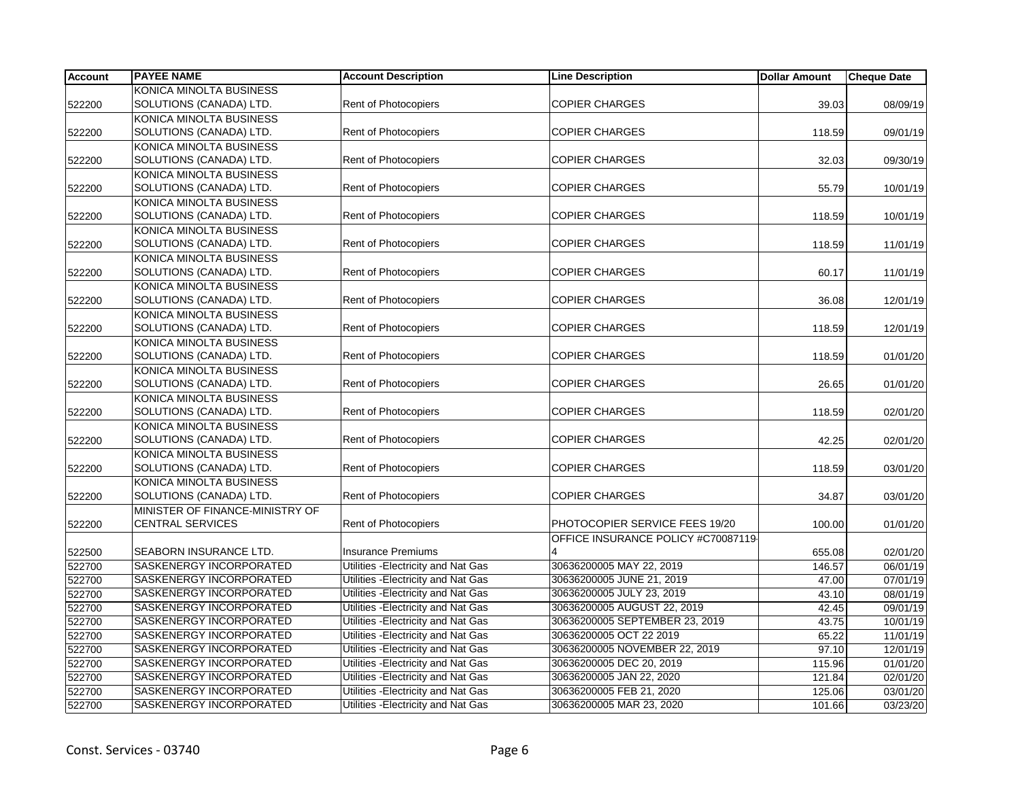| <b>Account</b> | <b>PAYEE NAME</b>               | <b>Account Description</b>          | <b>Line Description</b>             | <b>Dollar Amount</b> | <b>Cheque Date</b> |
|----------------|---------------------------------|-------------------------------------|-------------------------------------|----------------------|--------------------|
|                | KONICA MINOLTA BUSINESS         |                                     |                                     |                      |                    |
| 522200         | SOLUTIONS (CANADA) LTD.         | <b>Rent of Photocopiers</b>         | <b>COPIER CHARGES</b>               | 39.03                | 08/09/19           |
|                | KONICA MINOLTA BUSINESS         |                                     |                                     |                      |                    |
| 522200         | SOLUTIONS (CANADA) LTD.         | Rent of Photocopiers                | <b>COPIER CHARGES</b>               | 118.59               | 09/01/19           |
|                | KONICA MINOLTA BUSINESS         |                                     |                                     |                      |                    |
| 522200         | SOLUTIONS (CANADA) LTD.         | <b>Rent of Photocopiers</b>         | <b>COPIER CHARGES</b>               | 32.03                | 09/30/19           |
|                | KONICA MINOLTA BUSINESS         |                                     |                                     |                      |                    |
| 522200         | SOLUTIONS (CANADA) LTD.         | <b>Rent of Photocopiers</b>         | <b>COPIER CHARGES</b>               | 55.79                | 10/01/19           |
|                | KONICA MINOLTA BUSINESS         |                                     |                                     |                      |                    |
| 522200         | SOLUTIONS (CANADA) LTD.         | <b>Rent of Photocopiers</b>         | <b>COPIER CHARGES</b>               | 118.59               | 10/01/19           |
|                | KONICA MINOLTA BUSINESS         |                                     |                                     |                      |                    |
| 522200         | SOLUTIONS (CANADA) LTD.         | Rent of Photocopiers                | <b>COPIER CHARGES</b>               | 118.59               | 11/01/19           |
|                | KONICA MINOLTA BUSINESS         |                                     |                                     |                      |                    |
| 522200         | SOLUTIONS (CANADA) LTD.         | Rent of Photocopiers                | <b>COPIER CHARGES</b>               | 60.17                | 11/01/19           |
|                | KONICA MINOLTA BUSINESS         |                                     |                                     |                      |                    |
| 522200         | SOLUTIONS (CANADA) LTD.         | <b>Rent of Photocopiers</b>         | <b>COPIER CHARGES</b>               | 36.08                | 12/01/19           |
|                | KONICA MINOLTA BUSINESS         |                                     |                                     |                      |                    |
| 522200         | SOLUTIONS (CANADA) LTD.         | Rent of Photocopiers                | <b>COPIER CHARGES</b>               | 118.59               | 12/01/19           |
|                | KONICA MINOLTA BUSINESS         |                                     |                                     |                      |                    |
| 522200         | SOLUTIONS (CANADA) LTD.         | Rent of Photocopiers                | <b>COPIER CHARGES</b>               | 118.59               | 01/01/20           |
|                | KONICA MINOLTA BUSINESS         |                                     |                                     |                      |                    |
| 522200         | SOLUTIONS (CANADA) LTD.         | Rent of Photocopiers                | <b>COPIER CHARGES</b>               | 26.65                | 01/01/20           |
|                | KONICA MINOLTA BUSINESS         |                                     |                                     |                      |                    |
| 522200         | SOLUTIONS (CANADA) LTD.         | <b>Rent of Photocopiers</b>         | <b>COPIER CHARGES</b>               | 118.59               | 02/01/20           |
|                | KONICA MINOLTA BUSINESS         |                                     |                                     |                      |                    |
| 522200         | SOLUTIONS (CANADA) LTD.         | Rent of Photocopiers                | <b>COPIER CHARGES</b>               | 42.25                | 02/01/20           |
|                | KONICA MINOLTA BUSINESS         |                                     |                                     |                      |                    |
| 522200         | SOLUTIONS (CANADA) LTD.         | Rent of Photocopiers                | <b>COPIER CHARGES</b>               | 118.59               | 03/01/20           |
|                | KONICA MINOLTA BUSINESS         |                                     |                                     |                      |                    |
| 522200         | SOLUTIONS (CANADA) LTD.         | Rent of Photocopiers                | <b>COPIER CHARGES</b>               | 34.87                | 03/01/20           |
|                | MINISTER OF FINANCE-MINISTRY OF |                                     |                                     |                      |                    |
| 522200         | <b>CENTRAL SERVICES</b>         | Rent of Photocopiers                | PHOTOCOPIER SERVICE FEES 19/20      | 100.00               | 01/01/20           |
|                |                                 |                                     | OFFICE INSURANCE POLICY #C70087119- |                      |                    |
| 522500         | <b>SEABORN INSURANCE LTD.</b>   | <b>Insurance Premiums</b>           | 4                                   | 655.08               | 02/01/20           |
| 522700         | SASKENERGY INCORPORATED         | Utilities - Electricity and Nat Gas | 30636200005 MAY 22, 2019            | 146.57               | 06/01/19           |
| 522700         | <b>SASKENERGY INCORPORATED</b>  | Utilities - Electricity and Nat Gas | 30636200005 JUNE 21, 2019           | 47.00                | 07/01/19           |
| 522700         | SASKENERGY INCORPORATED         | Utilities - Electricity and Nat Gas | 30636200005 JULY 23, 2019           | 43.10                | 08/01/19           |
| 522700         | SASKENERGY INCORPORATED         | Utilities - Electricity and Nat Gas | 30636200005 AUGUST 22, 2019         | 42.45                | 09/01/19           |
| 522700         | SASKENERGY INCORPORATED         | Utilities - Electricity and Nat Gas | 30636200005 SEPTEMBER 23, 2019      | 43.75                | 10/01/19           |
| 522700         | SASKENERGY INCORPORATED         | Utilities - Electricity and Nat Gas | 30636200005 OCT 22 2019             | 65.22                | 11/01/19           |
| 522700         | SASKENERGY INCORPORATED         | Utilities - Electricity and Nat Gas | 30636200005 NOVEMBER 22, 2019       | 97.10                | 12/01/19           |
| 522700         | SASKENERGY INCORPORATED         | Utilities - Electricity and Nat Gas | 30636200005 DEC 20, 2019            | 115.96               | 01/01/20           |
| 522700         | SASKENERGY INCORPORATED         | Utilities - Electricity and Nat Gas | 30636200005 JAN 22, 2020            | 121.84               | 02/01/20           |
| 522700         | SASKENERGY INCORPORATED         | Utilities - Electricity and Nat Gas | 30636200005 FEB 21, 2020            | 125.06               | 03/01/20           |
| 522700         | SASKENERGY INCORPORATED         | Utilities - Electricity and Nat Gas | 30636200005 MAR 23, 2020            | 101.66               | 03/23/20           |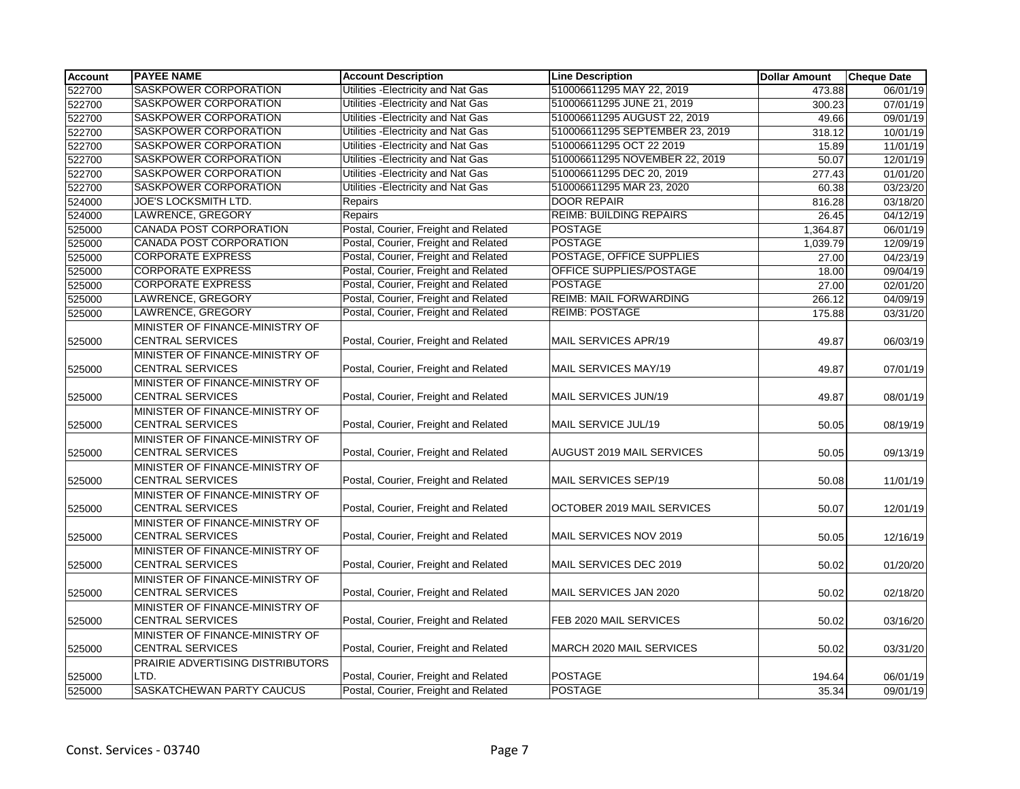| <b>Account</b> | <b>PAYEE NAME</b>                | <b>Account Description</b>           | <b>Line Description</b>          | <b>Dollar Amount</b> | <b>Cheque Date</b>    |
|----------------|----------------------------------|--------------------------------------|----------------------------------|----------------------|-----------------------|
| 522700         | SASKPOWER CORPORATION            | Utilities - Electricity and Nat Gas  | 510006611295 MAY 22, 2019        | 473.88               | 06/01/19              |
| 522700         | <b>SASKPOWER CORPORATION</b>     | Utilities - Electricity and Nat Gas  | 510006611295 JUNE 21, 2019       | 300.23               | 07/01/19              |
| 522700         | SASKPOWER CORPORATION            | Utilities - Electricity and Nat Gas  | 510006611295 AUGUST 22, 2019     | 49.66                | 09/01/19              |
| 522700         | SASKPOWER CORPORATION            | Utilities - Electricity and Nat Gas  | 510006611295 SEPTEMBER 23, 2019  | 318.12               | 10/01/19              |
| 522700         | SASKPOWER CORPORATION            | Utilities - Electricity and Nat Gas  | 510006611295 OCT 22 2019         | 15.89                | 11/01/19              |
| 522700         | SASKPOWER CORPORATION            | Utilities - Electricity and Nat Gas  | 510006611295 NOVEMBER 22, 2019   | 50.07                | 12/01/19              |
| 522700         | SASKPOWER CORPORATION            | Utilities - Electricity and Nat Gas  | 510006611295 DEC 20, 2019        | 277.43               | 01/01/20              |
| 522700         | SASKPOWER CORPORATION            | Utilities - Electricity and Nat Gas  | 510006611295 MAR 23, 2020        | 60.38                | 03/23/20              |
| 524000         | JOE'S LOCKSMITH LTD.             | Repairs                              | <b>DOOR REPAIR</b>               | 816.28               | 03/18/20              |
| 524000         | LAWRENCE, GREGORY                | Repairs                              | <b>REIMB: BUILDING REPAIRS</b>   | 26.45                | 04/12/19              |
| 525000         | CANADA POST CORPORATION          | Postal, Courier, Freight and Related | <b>POSTAGE</b>                   | 1,364.87             | 06/01/19              |
| 525000         | <b>CANADA POST CORPORATION</b>   | Postal, Courier, Freight and Related | <b>POSTAGE</b>                   | 1,039.79             | 12/09/19              |
| 525000         | <b>CORPORATE EXPRESS</b>         | Postal, Courier, Freight and Related | POSTAGE, OFFICE SUPPLIES         | 27.00                | 04/23/19              |
| 525000         | <b>CORPORATE EXPRESS</b>         | Postal, Courier, Freight and Related | OFFICE SUPPLIES/POSTAGE          | 18.00                | 09/04/19              |
| 525000         | <b>CORPORATE EXPRESS</b>         | Postal, Courier, Freight and Related | <b>POSTAGE</b>                   | 27.00                | $\overline{02/0}1/20$ |
| 525000         | LAWRENCE, GREGORY                | Postal, Courier, Freight and Related | REIMB: MAIL FORWARDING           | 266.12               | 04/09/19              |
| 525000         | LAWRENCE, GREGORY                | Postal, Courier, Freight and Related | <b>REIMB: POSTAGE</b>            | 175.88               | 03/31/20              |
|                | MINISTER OF FINANCE-MINISTRY OF  |                                      |                                  |                      |                       |
| 525000         | <b>CENTRAL SERVICES</b>          | Postal, Courier, Freight and Related | MAIL SERVICES APR/19             | 49.87                | 06/03/19              |
|                | MINISTER OF FINANCE-MINISTRY OF  |                                      |                                  |                      |                       |
| 525000         | <b>CENTRAL SERVICES</b>          | Postal, Courier, Freight and Related | MAIL SERVICES MAY/19             | 49.87                | 07/01/19              |
|                | MINISTER OF FINANCE-MINISTRY OF  |                                      |                                  |                      |                       |
| 525000         | <b>CENTRAL SERVICES</b>          | Postal, Courier, Freight and Related | MAIL SERVICES JUN/19             | 49.87                | 08/01/19              |
|                | MINISTER OF FINANCE-MINISTRY OF  |                                      |                                  |                      |                       |
| 525000         | <b>CENTRAL SERVICES</b>          | Postal, Courier, Freight and Related | MAIL SERVICE JUL/19              | 50.05                | 08/19/19              |
|                | MINISTER OF FINANCE-MINISTRY OF  |                                      |                                  |                      |                       |
| 525000         | <b>CENTRAL SERVICES</b>          | Postal, Courier, Freight and Related | <b>AUGUST 2019 MAIL SERVICES</b> | 50.05                | 09/13/19              |
|                | MINISTER OF FINANCE-MINISTRY OF  |                                      |                                  |                      |                       |
| 525000         | <b>CENTRAL SERVICES</b>          | Postal, Courier, Freight and Related | MAIL SERVICES SEP/19             | 50.08                | 11/01/19              |
|                | MINISTER OF FINANCE-MINISTRY OF  |                                      |                                  |                      |                       |
| 525000         | <b>CENTRAL SERVICES</b>          | Postal, Courier, Freight and Related | OCTOBER 2019 MAIL SERVICES       | 50.07                | 12/01/19              |
|                | MINISTER OF FINANCE-MINISTRY OF  |                                      |                                  |                      |                       |
| 525000         | <b>CENTRAL SERVICES</b>          | Postal, Courier, Freight and Related | MAIL SERVICES NOV 2019           | 50.05                | 12/16/19              |
|                | MINISTER OF FINANCE-MINISTRY OF  |                                      |                                  |                      |                       |
| 525000         | <b>CENTRAL SERVICES</b>          | Postal, Courier, Freight and Related | MAIL SERVICES DEC 2019           | 50.02                | 01/20/20              |
|                | MINISTER OF FINANCE-MINISTRY OF  |                                      |                                  |                      |                       |
| 525000         | <b>CENTRAL SERVICES</b>          | Postal, Courier, Freight and Related | MAIL SERVICES JAN 2020           | 50.02                | 02/18/20              |
|                | MINISTER OF FINANCE-MINISTRY OF  |                                      |                                  |                      |                       |
| 525000         | <b>CENTRAL SERVICES</b>          | Postal, Courier, Freight and Related | FEB 2020 MAIL SERVICES           | 50.02                | 03/16/20              |
|                | MINISTER OF FINANCE-MINISTRY OF  |                                      |                                  |                      |                       |
| 525000         | <b>CENTRAL SERVICES</b>          | Postal, Courier, Freight and Related | MARCH 2020 MAIL SERVICES         | 50.02                | 03/31/20              |
|                | PRAIRIE ADVERTISING DISTRIBUTORS |                                      |                                  |                      |                       |
| 525000         | LTD.                             | Postal, Courier, Freight and Related | <b>POSTAGE</b>                   | 194.64               | 06/01/19              |
| 525000         | SASKATCHEWAN PARTY CAUCUS        | Postal, Courier, Freight and Related | <b>POSTAGE</b>                   | 35.34                | 09/01/19              |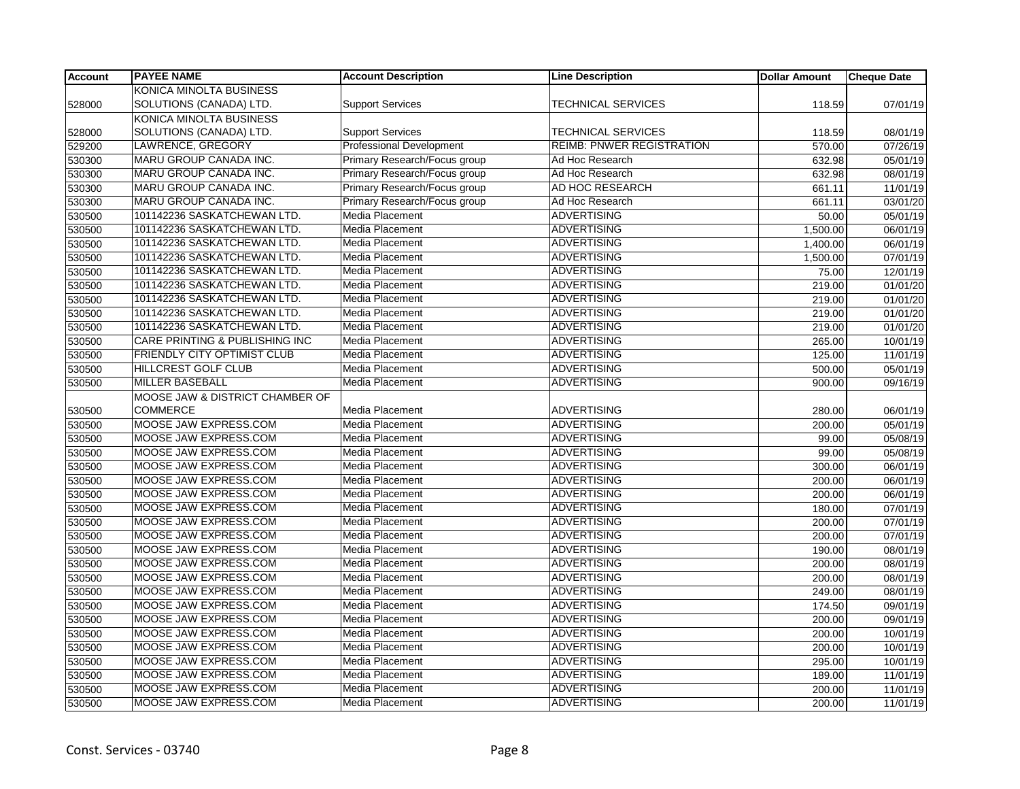| <b>Account</b> | <b>PAYEE NAME</b>               | <b>Account Description</b>      | <b>Line Description</b>          | <b>Dollar Amount</b> | <b>Cheque Date</b> |
|----------------|---------------------------------|---------------------------------|----------------------------------|----------------------|--------------------|
|                | KONICA MINOLTA BUSINESS         |                                 |                                  |                      |                    |
| 528000         | SOLUTIONS (CANADA) LTD.         | <b>Support Services</b>         | <b>TECHNICAL SERVICES</b>        | 118.59               | 07/01/19           |
|                | KONICA MINOLTA BUSINESS         |                                 |                                  |                      |                    |
| 528000         | SOLUTIONS (CANADA) LTD.         | <b>Support Services</b>         | <b>TECHNICAL SERVICES</b>        | 118.59               | 08/01/19           |
| 529200         | LAWRENCE, GREGORY               | <b>Professional Development</b> | <b>REIMB: PNWER REGISTRATION</b> | 570.00               | 07/26/19           |
| 530300         | MARU GROUP CANADA INC.          | Primary Research/Focus group    | Ad Hoc Research                  | 632.98               | 05/01/19           |
| 530300         | MARU GROUP CANADA INC.          | Primary Research/Focus group    | Ad Hoc Research                  | 632.98               | 08/01/19           |
| 530300         | MARU GROUP CANADA INC.          | Primary Research/Focus group    | AD HOC RESEARCH                  | 661.11               | 11/01/19           |
| 530300         | MARU GROUP CANADA INC.          | Primary Research/Focus group    | Ad Hoc Research                  | 661.11               | 03/01/20           |
| 530500         | 101142236 SASKATCHEWAN LTD.     | Media Placement                 | <b>ADVERTISING</b>               | 50.00                | 05/01/19           |
| 530500         | 101142236 SASKATCHEWAN LTD.     | <b>Media Placement</b>          | <b>ADVERTISING</b>               | 1,500.00             | 06/01/19           |
| 530500         | 101142236 SASKATCHEWAN LTD.     | Media Placement                 | <b>ADVERTISING</b>               | 1,400.00             | 06/01/19           |
| 530500         | 101142236 SASKATCHEWAN LTD.     | <b>Media Placement</b>          | <b>ADVERTISING</b>               | 1,500.00             | 07/01/19           |
| 530500         | 101142236 SASKATCHEWAN LTD.     | Media Placement                 | <b>ADVERTISING</b>               | 75.00                | 12/01/19           |
| 530500         | 101142236 SASKATCHEWAN LTD.     | <b>Media Placement</b>          | <b>ADVERTISING</b>               | 219.00               | 01/01/20           |
| 530500         | 101142236 SASKATCHEWAN LTD.     | <b>Media Placement</b>          | <b>ADVERTISING</b>               | 219.00               | 01/01/20           |
| 530500         | 101142236 SASKATCHEWAN LTD.     | Media Placement                 | <b>ADVERTISING</b>               | 219.00               | 01/01/20           |
| 530500         | 101142236 SASKATCHEWAN LTD.     | Media Placement                 | <b>ADVERTISING</b>               | 219.00               | 01/01/20           |
| 530500         | CARE PRINTING & PUBLISHING INC  | Media Placement                 | <b>ADVERTISING</b>               | 265.00               | 10/01/19           |
| 530500         | FRIENDLY CITY OPTIMIST CLUB     | Media Placement                 | <b>ADVERTISING</b>               | 125.00               | 11/01/19           |
| 530500         | <b>HILLCREST GOLF CLUB</b>      | <b>Media Placement</b>          | <b>ADVERTISING</b>               | 500.00               | 05/01/19           |
| 530500         | MILLER BASEBALL                 | <b>Media Placement</b>          | <b>ADVERTISING</b>               | 900.00               | 09/16/19           |
|                | MOOSE JAW & DISTRICT CHAMBER OF |                                 |                                  |                      |                    |
| 530500         | <b>COMMERCE</b>                 | Media Placement                 | <b>ADVERTISING</b>               | 280.00               | 06/01/19           |
| 530500         | MOOSE JAW EXPRESS.COM           | <b>Media Placement</b>          | <b>ADVERTISING</b>               | 200.00               | 05/01/19           |
| 530500         | MOOSE JAW EXPRESS.COM           | Media Placement                 | <b>ADVERTISING</b>               | 99.00                | 05/08/19           |
| 530500         | MOOSE JAW EXPRESS.COM           | Media Placement                 | <b>ADVERTISING</b>               | 99.00                | 05/08/19           |
| 530500         | MOOSE JAW EXPRESS.COM           | Media Placement                 | <b>ADVERTISING</b>               | 300.00               | 06/01/19           |
| 530500         | MOOSE JAW EXPRESS.COM           | <b>Media Placement</b>          | <b>ADVERTISING</b>               | 200.00               | 06/01/19           |
| 530500         | MOOSE JAW EXPRESS.COM           | Media Placement                 | <b>ADVERTISING</b>               | 200.00               | 06/01/19           |
| 530500         | MOOSE JAW EXPRESS.COM           | <b>Media Placement</b>          | <b>ADVERTISING</b>               | 180.00               | 07/01/19           |
| 530500         | MOOSE JAW EXPRESS.COM           | <b>Media Placement</b>          | <b>ADVERTISING</b>               | 200.00               | 07/01/19           |
| 530500         | MOOSE JAW EXPRESS.COM           | <b>Media Placement</b>          | <b>ADVERTISING</b>               | 200.00               | 07/01/19           |
| 530500         | MOOSE JAW EXPRESS.COM           | <b>Media Placement</b>          | <b>ADVERTISING</b>               | 190.00               | 08/01/19           |
| 530500         | MOOSE JAW EXPRESS.COM           | Media Placement                 | <b>ADVERTISING</b>               | 200.00               | 08/01/19           |
| 530500         | MOOSE JAW EXPRESS.COM           | Media Placement                 | <b>ADVERTISING</b>               | 200.00               | 08/01/19           |
| 530500         | MOOSE JAW EXPRESS.COM           | Media Placement                 | <b>ADVERTISING</b>               | 249.00               | 08/01/19           |
| 530500         | MOOSE JAW EXPRESS.COM           | Media Placement                 | <b>ADVERTISING</b>               | 174.50               | 09/01/19           |
| 530500         | MOOSE JAW EXPRESS.COM           | <b>Media Placement</b>          | <b>ADVERTISING</b>               | 200.00               | 09/01/19           |
| 530500         | MOOSE JAW EXPRESS.COM           | Media Placement                 | <b>ADVERTISING</b>               | 200.00               | 10/01/19           |
| 530500         | MOOSE JAW EXPRESS.COM           | Media Placement                 | <b>ADVERTISING</b>               | 200.00               | 10/01/19           |
| 530500         | MOOSE JAW EXPRESS.COM           | <b>Media Placement</b>          | <b>ADVERTISING</b>               | 295.00               | 10/01/19           |
| 530500         | MOOSE JAW EXPRESS.COM           | Media Placement                 | <b>ADVERTISING</b>               | 189.00               | 11/01/19           |
| 530500         | MOOSE JAW EXPRESS.COM           | Media Placement                 | <b>ADVERTISING</b>               | 200.00               | 11/01/19           |
| 530500         | MOOSE JAW EXPRESS.COM           | Media Placement                 | <b>ADVERTISING</b>               | 200.00               | 11/01/19           |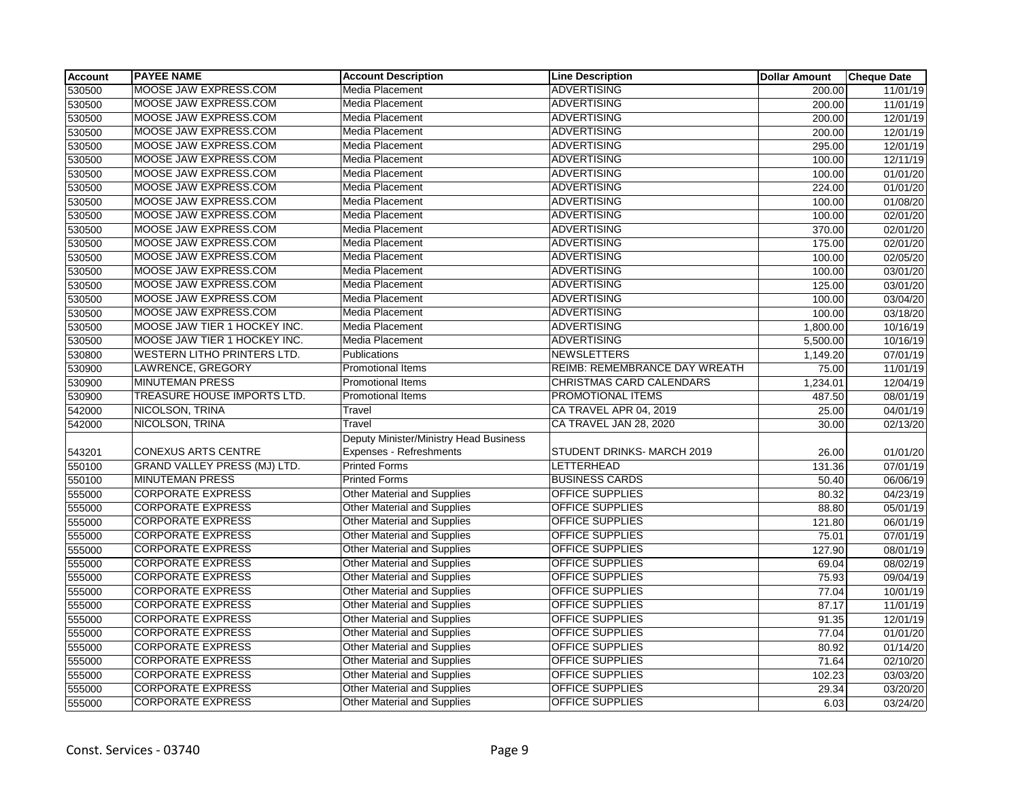| <b>Account</b> | <b>PAYEE NAME</b>                   | <b>Account Description</b>             | <b>Line Description</b>       | <b>Dollar Amount</b> | <b>Cheque Date</b>    |
|----------------|-------------------------------------|----------------------------------------|-------------------------------|----------------------|-----------------------|
| 530500         | MOOSE JAW EXPRESS.COM               | Media Placement                        | <b>ADVERTISING</b>            | 200.00               | 11/01/19              |
| 530500         | MOOSE JAW EXPRESS.COM               | <b>Media Placement</b>                 | <b>ADVERTISING</b>            | 200.00               | 11/01/19              |
| 530500         | MOOSE JAW EXPRESS.COM               | <b>Media Placement</b>                 | <b>ADVERTISING</b>            | 200.00               | 12/01/19              |
| 530500         | MOOSE JAW EXPRESS.COM               | Media Placement                        | <b>ADVERTISING</b>            | 200.00               | 12/01/19              |
| 530500         | MOOSE JAW EXPRESS.COM               | Media Placement                        | <b>ADVERTISING</b>            | 295.00               | 12/01/19              |
| 530500         | MOOSE JAW EXPRESS.COM               | Media Placement                        | <b>ADVERTISING</b>            | 100.00               | 12/11/19              |
| 530500         | MOOSE JAW EXPRESS.COM               | <b>Media Placement</b>                 | <b>ADVERTISING</b>            | 100.00               | 01/01/20              |
| 530500         | MOOSE JAW EXPRESS.COM               | Media Placement                        | <b>ADVERTISING</b>            | 224.00               | 01/01/20              |
| 530500         | MOOSE JAW EXPRESS.COM               | Media Placement                        | <b>ADVERTISING</b>            | 100.00               | 01/08/20              |
| 530500         | MOOSE JAW EXPRESS.COM               | Media Placement                        | <b>ADVERTISING</b>            | 100.00               | 02/01/20              |
| 530500         | MOOSE JAW EXPRESS.COM               | Media Placement                        | <b>ADVERTISING</b>            | 370.00               | 02/01/20              |
| 530500         | MOOSE JAW EXPRESS.COM               | Media Placement                        | <b>ADVERTISING</b>            | 175.00               | 02/01/20              |
| 530500         | MOOSE JAW EXPRESS.COM               | <b>Media Placement</b>                 | <b>ADVERTISING</b>            | 100.00               | 02/05/20              |
| 530500         | MOOSE JAW EXPRESS.COM               | Media Placement                        | <b>ADVERTISING</b>            | 100.00               | 03/01/20              |
| 530500         | MOOSE JAW EXPRESS.COM               | Media Placement                        | <b>ADVERTISING</b>            | 125.00               | 03/01/20              |
| 530500         | MOOSE JAW EXPRESS.COM               | Media Placement                        | <b>ADVERTISING</b>            | 100.00               | 03/04/20              |
| 530500         | MOOSE JAW EXPRESS.COM               | Media Placement                        | <b>ADVERTISING</b>            | 100.00               | 03/18/20              |
| 530500         | MOOSE JAW TIER 1 HOCKEY INC.        | Media Placement                        | <b>ADVERTISING</b>            | 1,800.00             | 10/16/19              |
| 530500         | MOOSE JAW TIER 1 HOCKEY INC.        | Media Placement                        | <b>ADVERTISING</b>            | 5,500.00             | 10/16/19              |
| 530800         | <b>WESTERN LITHO PRINTERS LTD.</b>  | Publications                           | <b>NEWSLETTERS</b>            | 1,149.20             | $\overline{07/01/19}$ |
| 530900         | LAWRENCE, GREGORY                   | Promotional Items                      | REIMB: REMEMBRANCE DAY WREATH | 75.00                | 11/01/19              |
| 530900         | <b>MINUTEMAN PRESS</b>              | Promotional Items                      | CHRISTMAS CARD CALENDARS      | 1,234.01             | 12/04/19              |
| 530900         | TREASURE HOUSE IMPORTS LTD.         | <b>Promotional Items</b>               | PROMOTIONAL ITEMS             | 487.50               | 08/01/19              |
| 542000         | NICOLSON, TRINA                     | Travel                                 | CA TRAVEL APR 04, 2019        | 25.00                | 04/01/19              |
| 542000         | NICOLSON, TRINA                     | Travel                                 | CA TRAVEL JAN 28, 2020        | 30.00                | 02/13/20              |
|                |                                     | Deputy Minister/Ministry Head Business |                               |                      |                       |
| 543201         | <b>CONEXUS ARTS CENTRE</b>          | Expenses - Refreshments                | STUDENT DRINKS-MARCH 2019     | 26.00                | 01/01/20              |
| 550100         | <b>GRAND VALLEY PRESS (MJ) LTD.</b> | <b>Printed Forms</b>                   | LETTERHEAD                    | 131.36               | 07/01/19              |
| 550100         | <b>MINUTEMAN PRESS</b>              | <b>Printed Forms</b>                   | <b>BUSINESS CARDS</b>         | 50.40                | 06/06/19              |
| 555000         | <b>CORPORATE EXPRESS</b>            | <b>Other Material and Supplies</b>     | <b>OFFICE SUPPLIES</b>        | 80.32                | 04/23/19              |
| 555000         | <b>CORPORATE EXPRESS</b>            | <b>Other Material and Supplies</b>     | <b>OFFICE SUPPLIES</b>        | 88.80                | 05/01/19              |
| 555000         | <b>CORPORATE EXPRESS</b>            | <b>Other Material and Supplies</b>     | OFFICE SUPPLIES               | 121.80               | 06/01/19              |
| 555000         | <b>CORPORATE EXPRESS</b>            | <b>Other Material and Supplies</b>     | OFFICE SUPPLIES               | 75.01                | 07/01/19              |
| 555000         | <b>CORPORATE EXPRESS</b>            | <b>Other Material and Supplies</b>     | OFFICE SUPPLIES               | 127.90               | 08/01/19              |
| 555000         | <b>CORPORATE EXPRESS</b>            | Other Material and Supplies            | OFFICE SUPPLIES               | 69.04                | 08/02/19              |
| 555000         | <b>CORPORATE EXPRESS</b>            | <b>Other Material and Supplies</b>     | <b>OFFICE SUPPLIES</b>        | 75.93                | 09/04/19              |
| 555000         | <b>CORPORATE EXPRESS</b>            | <b>Other Material and Supplies</b>     | <b>OFFICE SUPPLIES</b>        | 77.04                | 10/01/19              |
| 555000         | <b>CORPORATE EXPRESS</b>            | <b>Other Material and Supplies</b>     | OFFICE SUPPLIES               | 87.17                | 11/01/19              |
| 555000         | <b>CORPORATE EXPRESS</b>            | <b>Other Material and Supplies</b>     | OFFICE SUPPLIES               | 91.35                | 12/01/19              |
| 555000         | <b>CORPORATE EXPRESS</b>            | <b>Other Material and Supplies</b>     | OFFICE SUPPLIES               | 77.04                | 01/01/20              |
| 555000         | <b>CORPORATE EXPRESS</b>            | <b>Other Material and Supplies</b>     | <b>OFFICE SUPPLIES</b>        | 80.92                | 01/14/20              |
| 555000         | <b>CORPORATE EXPRESS</b>            | <b>Other Material and Supplies</b>     | <b>OFFICE SUPPLIES</b>        | 71.64                | 02/10/20              |
| 555000         | <b>CORPORATE EXPRESS</b>            | <b>Other Material and Supplies</b>     | OFFICE SUPPLIES               | 102.23               | 03/03/20              |
| 555000         | <b>CORPORATE EXPRESS</b>            | <b>Other Material and Supplies</b>     | OFFICE SUPPLIES               | 29.34                | 03/20/20              |
| 555000         | <b>CORPORATE EXPRESS</b>            | <b>Other Material and Supplies</b>     | <b>OFFICE SUPPLIES</b>        | 6.03                 | 03/24/20              |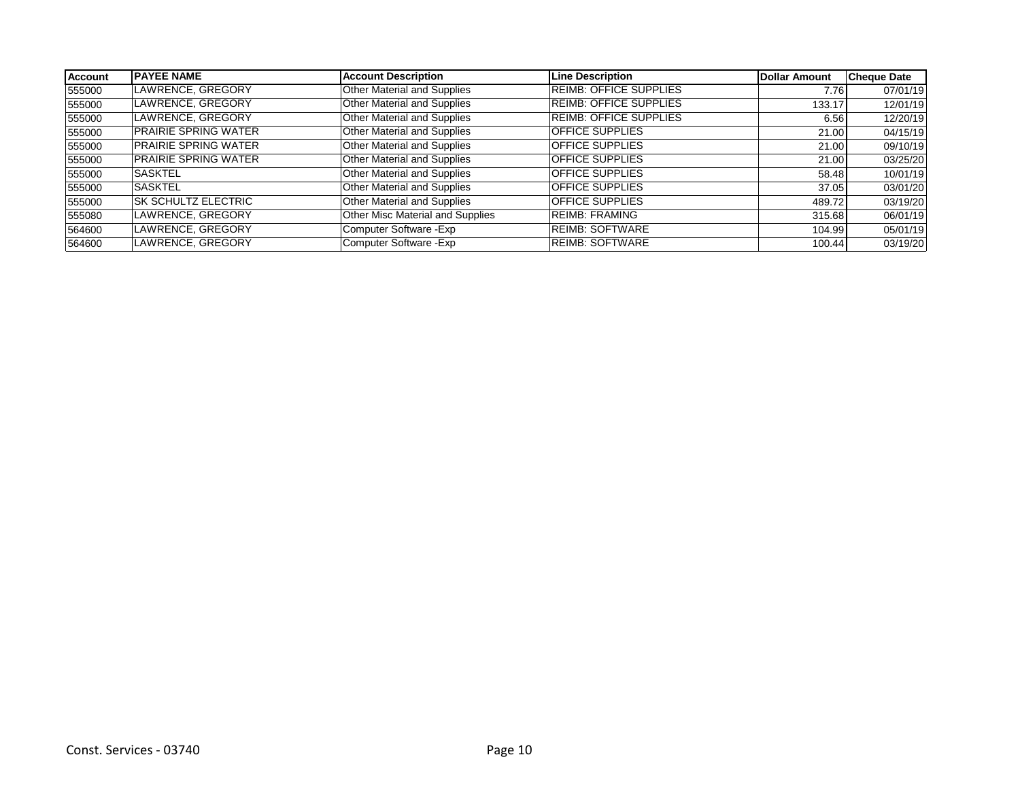| <b>Account</b> | <b>IPAYEE NAME</b>          | <b>Account Description</b>         | <b>Line Description</b>       | Dollar Amount | <b>Cheque Date</b> |
|----------------|-----------------------------|------------------------------------|-------------------------------|---------------|--------------------|
| 555000         | LAWRENCE, GREGORY           | <b>Other Material and Supplies</b> | <b>REIMB: OFFICE SUPPLIES</b> | 7.76          | 07/01/19           |
| 555000         | LAWRENCE, GREGORY           | Other Material and Supplies        | <b>REIMB: OFFICE SUPPLIES</b> | 133.17        | 12/01/19           |
| 555000         | LAWRENCE, GREGORY           | Other Material and Supplies        | <b>REIMB: OFFICE SUPPLIES</b> | 6.56          | 12/20/19           |
| 555000         | <b>PRAIRIE SPRING WATER</b> | Other Material and Supplies        | <b>OFFICE SUPPLIES</b>        | 21.00         | 04/15/19           |
| 555000         | <b>PRAIRIE SPRING WATER</b> | Other Material and Supplies        | <b>OFFICE SUPPLIES</b>        | 21.00         | 09/10/19           |
| 555000         | <b>PRAIRIE SPRING WATER</b> | Other Material and Supplies        | <b>OFFICE SUPPLIES</b>        | 21.00         | 03/25/20           |
| 555000         | ISASKTEL                    | Other Material and Supplies        | <b>OFFICE SUPPLIES</b>        | 58.48         | 10/01/19           |
| 555000         | <b>SASKTEL</b>              | Other Material and Supplies        | <b>OFFICE SUPPLIES</b>        | 37.05         | 03/01/20           |
| 555000         | <b>ISK SCHULTZ ELECTRIC</b> | Other Material and Supplies        | <b>OFFICE SUPPLIES</b>        | 489.72        | 03/19/20           |
| 555080         | LAWRENCE, GREGORY           | Other Misc Material and Supplies   | <b>REIMB: FRAMING</b>         | 315.68        | 06/01/19           |
| 564600         | LAWRENCE, GREGORY           | Computer Software - Exp            | <b>REIMB: SOFTWARE</b>        | 104.99        | 05/01/19           |
| 564600         | LAWRENCE, GREGORY           | Computer Software - Exp            | <b>IREIMB: SOFTWARE</b>       | 100.44        | 03/19/20           |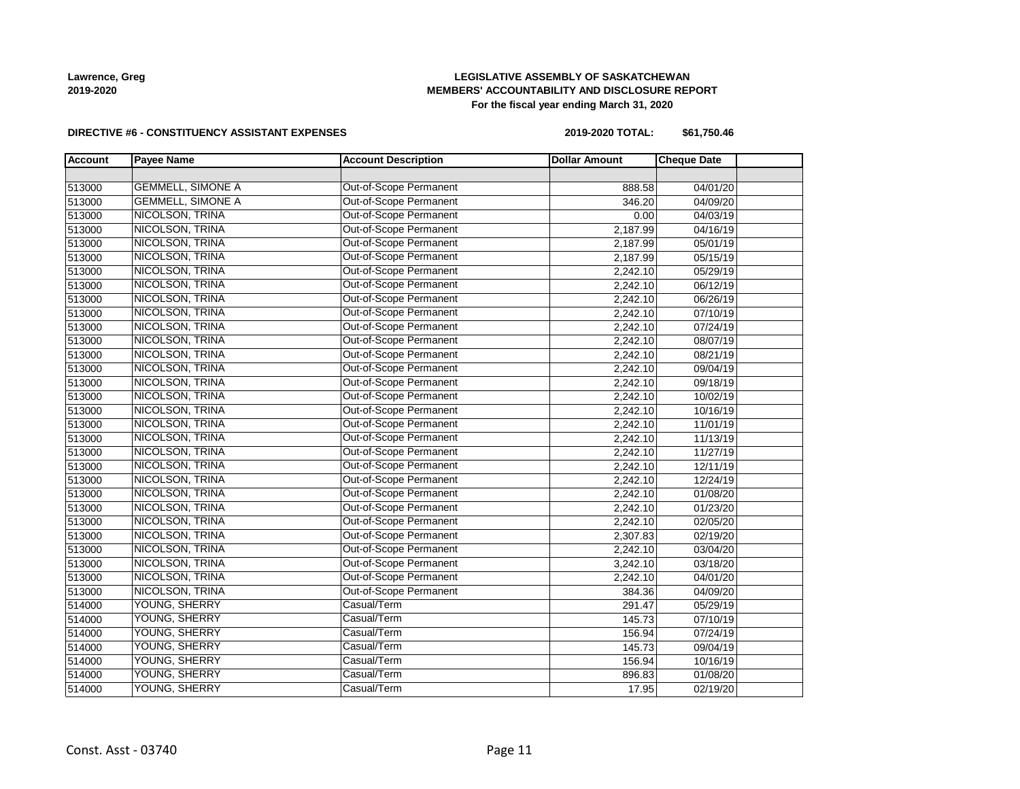# **LEGISLATIVE ASSEMBLY OF SASKATCHEWAN MEMBERS' ACCOUNTABILITY AND DISCLOSURE REPORT For the fiscal year ending March 31, 2020**

#### **DIRECTIVE #6 - CONSTITUENCY ASSISTANT EXPENSES**

**2019-2020 TOTAL: \$61,750.46**

| <b>Account</b> | <b>Payee Name</b>        | <b>Account Description</b> | <b>Dollar Amount</b> | <b>Cheque Date</b> |  |
|----------------|--------------------------|----------------------------|----------------------|--------------------|--|
|                |                          |                            |                      |                    |  |
| 513000         | <b>GEMMELL, SIMONE A</b> | Out-of-Scope Permanent     | 888.58               | 04/01/20           |  |
| 513000         | <b>GEMMELL, SIMONE A</b> | Out-of-Scope Permanent     | 346.20               | 04/09/20           |  |
| 513000         | NICOLSON, TRINA          | Out-of-Scope Permanent     | 0.00                 | 04/03/19           |  |
| 513000         | NICOLSON, TRINA          | Out-of-Scope Permanent     | 2,187.99             | 04/16/19           |  |
| 513000         | NICOLSON, TRINA          | Out-of-Scope Permanent     | 2,187.99             | 05/01/19           |  |
| 513000         | NICOLSON, TRINA          | Out-of-Scope Permanent     | 2,187.99             | 05/15/19           |  |
| 513000         | NICOLSON, TRINA          | Out-of-Scope Permanent     | 2,242.10             | 05/29/19           |  |
| 513000         | NICOLSON, TRINA          | Out-of-Scope Permanent     | 2,242.10             | 06/12/19           |  |
| 513000         | NICOLSON, TRINA          | Out-of-Scope Permanent     | 2,242.10             | 06/26/19           |  |
| 513000         | NICOLSON, TRINA          | Out-of-Scope Permanent     | 2,242.10             | 07/10/19           |  |
| 513000         | NICOLSON, TRINA          | Out-of-Scope Permanent     | 2,242.10             | 07/24/19           |  |
| 513000         | NICOLSON, TRINA          | Out-of-Scope Permanent     | 2,242.10             | 08/07/19           |  |
| 513000         | NICOLSON, TRINA          | Out-of-Scope Permanent     | 2,242.10             | 08/21/19           |  |
| 513000         | NICOLSON, TRINA          | Out-of-Scope Permanent     | 2,242.10             | 09/04/19           |  |
| 513000         | NICOLSON, TRINA          | Out-of-Scope Permanent     | 2,242.10             | 09/18/19           |  |
| 513000         | NICOLSON, TRINA          | Out-of-Scope Permanent     | 2,242.10             | 10/02/19           |  |
| 513000         | NICOLSON, TRINA          | Out-of-Scope Permanent     | 2,242.10             | 10/16/19           |  |
| 513000         | NICOLSON, TRINA          | Out-of-Scope Permanent     | 2,242.10             | 11/01/19           |  |
| 513000         | NICOLSON, TRINA          | Out-of-Scope Permanent     | 2,242.10             | 11/13/19           |  |
| 513000         | NICOLSON, TRINA          | Out-of-Scope Permanent     | 2,242.10             | 11/27/19           |  |
| 513000         | NICOLSON, TRINA          | Out-of-Scope Permanent     | 2,242.10             | 12/11/19           |  |
| 513000         | NICOLSON, TRINA          | Out-of-Scope Permanent     | 2,242.10             | 12/24/19           |  |
| 513000         | NICOLSON, TRINA          | Out-of-Scope Permanent     | 2,242.10             | 01/08/20           |  |
| 513000         | NICOLSON, TRINA          | Out-of-Scope Permanent     | 2,242.10             | 01/23/20           |  |
| 513000         | NICOLSON, TRINA          | Out-of-Scope Permanent     | 2,242.10             | 02/05/20           |  |
| 513000         | <b>NICOLSON, TRINA</b>   | Out-of-Scope Permanent     | 2,307.83             | 02/19/20           |  |
| 513000         | NICOLSON, TRINA          | Out-of-Scope Permanent     | 2,242.10             | 03/04/20           |  |
| 513000         | NICOLSON, TRINA          | Out-of-Scope Permanent     | 3,242.10             | 03/18/20           |  |
| 513000         | NICOLSON, TRINA          | Out-of-Scope Permanent     | 2,242.10             | 04/01/20           |  |
| 513000         | NICOLSON, TRINA          | Out-of-Scope Permanent     | 384.36               | 04/09/20           |  |
| 514000         | YOUNG, SHERRY            | Casual/Term                | 291.47               | 05/29/19           |  |
| 514000         | YOUNG, SHERRY            | Casual/Term                | 145.73               | 07/10/19           |  |
| 514000         | YOUNG, SHERRY            | Casual/Term                | 156.94               | 07/24/19           |  |
| 514000         | YOUNG, SHERRY            | Casual/Term                | 145.73               | 09/04/19           |  |
| 514000         | YOUNG, SHERRY            | Casual/Term                | 156.94               | 10/16/19           |  |
| 514000         | YOUNG, SHERRY            | Casual/Term                | 896.83               | 01/08/20           |  |
| 514000         | YOUNG, SHERRY            | Casual/Term                | 17.95                | 02/19/20           |  |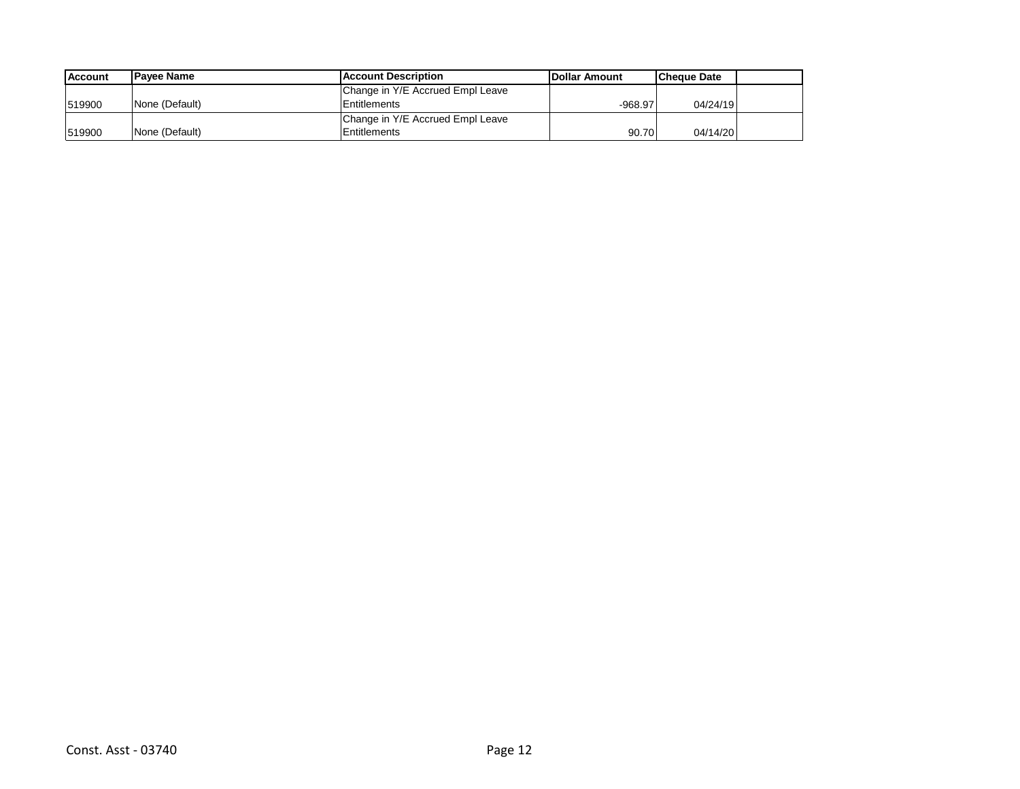| <b>Account</b> | <b>IPavee Name</b> | Account Description              | <b>IDollar Amount</b> | <b>Cheque Date</b> |  |
|----------------|--------------------|----------------------------------|-----------------------|--------------------|--|
|                |                    | Change in Y/E Accrued Empl Leave |                       |                    |  |
| 1519900        | None (Default)     | Entitlements                     | $-968.97$             | 04/24/19           |  |
|                |                    | Change in Y/E Accrued Empl Leave |                       |                    |  |
| 1519900        | None (Default)     | Entitlements                     | 90.70                 | 04/14/20           |  |